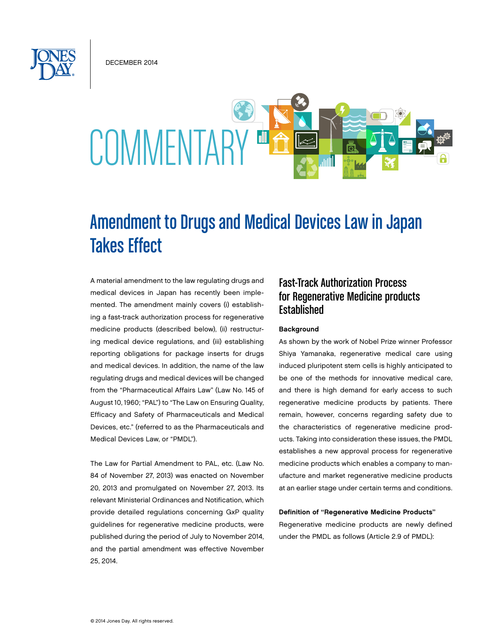December 2014



# Amendment to Drugs and Medical Devices Law in Japan Takes Effect

A material amendment to the law regulating drugs and medical devices in Japan has recently been implemented. The amendment mainly covers (i) establishing a fast-track authorization process for regenerative medicine products (described below), (ii) restructuring medical device regulations, and (iii) establishing reporting obligations for package inserts for drugs and medical devices. In addition, the name of the law regulating drugs and medical devices will be changed from the "Pharmaceutical Affairs Law" (Law No. 145 of August 10, 1960; "PAL") to "The Law on Ensuring Quality, Efficacy and Safety of Pharmaceuticals and Medical Devices, etc." (referred to as the Pharmaceuticals and Medical Devices Law, or "PMDL").

The Law for Partial Amendment to PAL, etc. (Law No. 84 of November 27, 2013) was enacted on November 20, 2013 and promulgated on November 27, 2013. Its relevant Ministerial Ordinances and Notification, which provide detailed regulations concerning GxP quality guidelines for regenerative medicine products, were published during the period of July to November 2014, and the partial amendment was effective November 25, 2014.

# Fast-Track Authorization Process for Regenerative Medicine products **Established**

## Background

As shown by the work of Nobel Prize winner Professor Shiya Yamanaka, regenerative medical care using induced pluripotent stem cells is highly anticipated to be one of the methods for innovative medical care, and there is high demand for early access to such regenerative medicine products by patients. There remain, however, concerns regarding safety due to the characteristics of regenerative medicine products. Taking into consideration these issues, the PMDL establishes a new approval process for regenerative medicine products which enables a company to manufacture and market regenerative medicine products at an earlier stage under certain terms and conditions.

#### Definition of "Regenerative Medicine Products"

Regenerative medicine products are newly defined under the PMDL as follows (Article 2.9 of PMDL):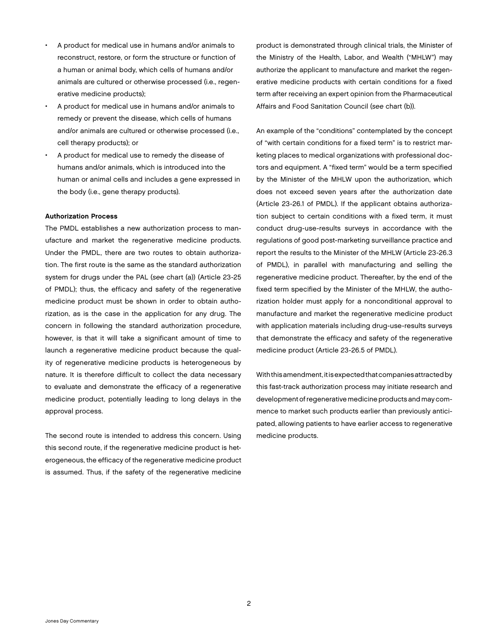- A product for medical use in humans and/or animals to reconstruct, restore, or form the structure or function of a human or animal body, which cells of humans and/or animals are cultured or otherwise processed (i.e., regenerative medicine products);
- A product for medical use in humans and/or animals to remedy or prevent the disease, which cells of humans and/or animals are cultured or otherwise processed (i.e., cell therapy products); or
- A product for medical use to remedy the disease of humans and/or animals, which is introduced into the human or animal cells and includes a gene expressed in the body (i.e., gene therapy products).

## Authorization Process

The PMDL establishes a new authorization process to manufacture and market the regenerative medicine products. Under the PMDL, there are two routes to obtain authorization. The first route is the same as the standard authorization system for drugs under the PAL (*see* chart (a)) (Article 23-25 of PMDL); thus, the efficacy and safety of the regenerative medicine product must be shown in order to obtain authorization, as is the case in the application for any drug. The concern in following the standard authorization procedure, however, is that it will take a significant amount of time to launch a regenerative medicine product because the quality of regenerative medicine products is heterogeneous by nature. It is therefore difficult to collect the data necessary to evaluate and demonstrate the efficacy of a regenerative medicine product, potentially leading to long delays in the approval process.

The second route is intended to address this concern. Using this second route, if the regenerative medicine product is heterogeneous, the efficacy of the regenerative medicine product is assumed. Thus, if the safety of the regenerative medicine

product is demonstrated through clinical trials, the Minister of the Ministry of the Health, Labor, and Wealth ("MHLW") may authorize the applicant to manufacture and market the regenerative medicine products with certain conditions for a fixed term after receiving an expert opinion from the Pharmaceutical Affairs and Food Sanitation Council (*see* chart (b)).

An example of the "conditions" contemplated by the concept of "with certain conditions for a fixed term" is to restrict marketing places to medical organizations with professional doctors and equipment. A "fixed term" would be a term specified by the Minister of the MHLW upon the authorization, which does not exceed seven years after the authorization date (Article 23-26.1 of PMDL). If the applicant obtains authorization subject to certain conditions with a fixed term, it must conduct drug-use-results surveys in accordance with the regulations of good post-marketing surveillance practice and report the results to the Minister of the MHLW (Article 23-26.3 of PMDL), in parallel with manufacturing and selling the regenerative medicine product. Thereafter, by the end of the fixed term specified by the Minister of the MHLW, the authorization holder must apply for a nonconditional approval to manufacture and market the regenerative medicine product with application materials including drug-use-results surveys that demonstrate the efficacy and safety of the regenerative medicine product (Article 23-26.5 of PMDL).

With this amendment, it is expected that companies attracted by this fast-track authorization process may initiate research and development of regenerative medicine products and may commence to market such products earlier than previously anticipated, allowing patients to have earlier access to regenerative medicine products.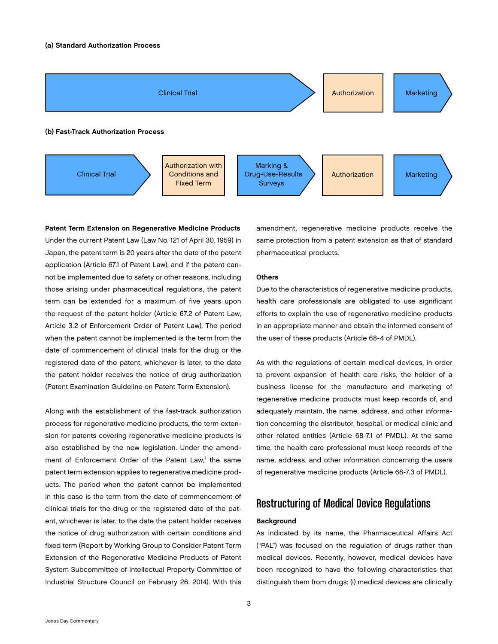

Patent Term Extension on Regenerative Medicine Products Under the current Patent Law (Law No. 121 of April 30, 1959) in Japan, the patent term is 20 years after the date of the patent application (Article 67.1 of Patent Law), and if the patent cannot be implemented due to safety or other reasons, including those arising under pharmaceutical regulations, the patent term can be extended for a maximum of five years upon the request of the patent holder (Article 67.2 of Patent Law, Article 3.2 of Enforcement Order of Patent Law). The period when the patent cannot be implemented is the term from the date of commencement of clinical trials for the drug or the registered date of the patent, whichever is later, to the date the patent holder receives the notice of drug authorization (Patent Examination Guideline on Patent Term Extension).

Along with the establishment of the fast-track authorization process for regenerative medicine products, the term extension for patents covering regenerative medicine products is also established by the new legislation. Under the amendment of Enforcement Order of the Patent Law,<sup>1</sup> the same patent term extension applies to regenerative medicine products. The period when the patent cannot be implemented in this case is the term from the date of commencement of clinical trials for the drug or the registered date of the patent, whichever is later, to the date the patent holder receives the notice of drug authorization with certain conditions and fixed term (Report by Working Group to Consider Patent Term Extension of the Regenerative Medicine Products of Patent System Subcommittee of Intellectual Property Committee of Industrial Structure Council on February 26, 2014). With this

amendment, regenerative medicine products receive the same protection from a patent extension as that of standard pharmaceutical products.

## **Others**

Due to the characteristics of regenerative medicine products, health care professionals are obligated to use significant efforts to explain the use of regenerative medicine products in an appropriate manner and obtain the informed consent of the user of these products (Article 68-4 of PMDL).

As with the regulations of certain medical devices, in order to prevent expansion of health care risks, the holder of a business license for the manufacture and marketing of regenerative medicine products must keep records of, and adequately maintain, the name, address, and other information concerning the distributor, hospital, or medical clinic and other related entities (Article 68-7.1 of PMDL). At the same time, the health care professional must keep records of the name, address, and other information concerning the users of regenerative medicine products (Article 68-7.3 of PMDL).

# Restructuring of Medical Device Regulations

#### Background

As indicated by its name, the Pharmaceutical Affairs Act ("PAL") was focused on the regulation of drugs rather than medical devices. Recently, however, medical devices have been recognized to have the following characteristics that distinguish them from drugs: (i) medical devices are clinically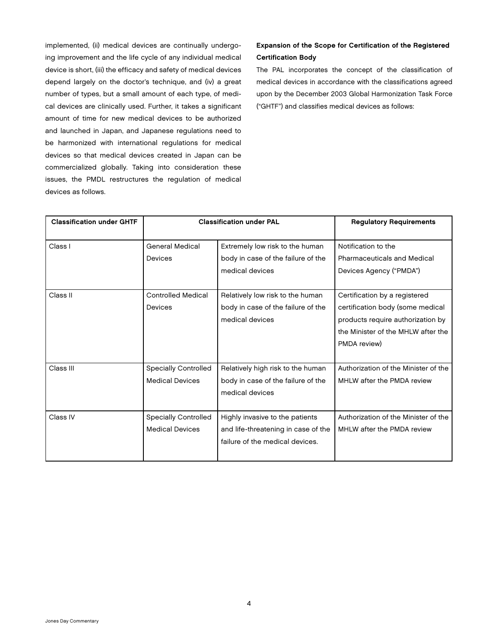implemented, (ii) medical devices are continually undergoing improvement and the life cycle of any individual medical device is short, (iii) the efficacy and safety of medical devices depend largely on the doctor's technique, and (iv) a great number of types, but a small amount of each type, of medical devices are clinically used. Further, it takes a significant amount of time for new medical devices to be authorized and launched in Japan, and Japanese regulations need to be harmonized with international regulations for medical devices so that medical devices created in Japan can be commercialized globally. Taking into consideration these issues, the PMDL restructures the regulation of medical devices as follows.

## Expansion of the Scope for Certification of the Registered Certification Body

The PAL incorporates the concept of the classification of medical devices in accordance with the classifications agreed upon by the December 2003 Global Harmonization Task Force ("GHTF") and classifies medical devices as follows:

| <b>Classification under GHTF</b> | <b>Classification under PAL</b>                       |                                                                                                           | <b>Regulatory Requirements</b>                                                                                                                               |
|----------------------------------|-------------------------------------------------------|-----------------------------------------------------------------------------------------------------------|--------------------------------------------------------------------------------------------------------------------------------------------------------------|
| Class I                          | <b>General Medical</b><br>Devices                     | Extremely low risk to the human<br>body in case of the failure of the<br>medical devices                  | Notification to the<br><b>Pharmaceuticals and Medical</b><br>Devices Agency ("PMDA")                                                                         |
| Class II                         | <b>Controlled Medical</b><br>Devices                  | Relatively low risk to the human<br>body in case of the failure of the<br>medical devices                 | Certification by a registered<br>certification body (some medical<br>products require authorization by<br>the Minister of the MHLW after the<br>PMDA review) |
| Class III                        | <b>Specially Controlled</b><br><b>Medical Devices</b> | Relatively high risk to the human<br>body in case of the failure of the<br>medical devices                | Authorization of the Minister of the<br>MHLW after the PMDA review                                                                                           |
| Class IV                         | <b>Specially Controlled</b><br><b>Medical Devices</b> | Highly invasive to the patients<br>and life-threatening in case of the<br>failure of the medical devices. | Authorization of the Minister of the<br>MHLW after the PMDA review                                                                                           |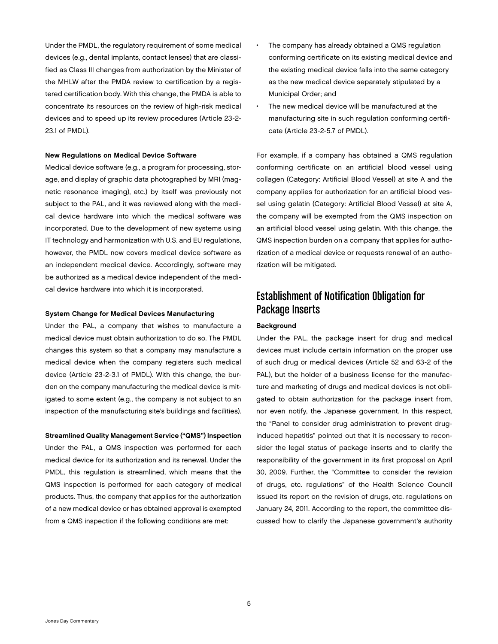Under the PMDL, the regulatory requirement of some medical devices (e.g., dental implants, contact lenses) that are classified as Class III changes from authorization by the Minister of the MHLW after the PMDA review to certification by a registered certification body. With this change, the PMDA is able to concentrate its resources on the review of high-risk medical devices and to speed up its review procedures (Article 23-2- 23.1 of PMDL).

## New Regulations on Medical Device Software

Medical device software (e.g., a program for processing, storage, and display of graphic data photographed by MRI (magnetic resonance imaging), etc.) by itself was previously not subject to the PAL, and it was reviewed along with the medical device hardware into which the medical software was incorporated. Due to the development of new systems using IT technology and harmonization with U.S. and EU regulations, however, the PMDL now covers medical device software as an independent medical device. Accordingly, software may be authorized as a medical device independent of the medical device hardware into which it is incorporated.

## System Change for Medical Devices Manufacturing

Under the PAL, a company that wishes to manufacture a medical device must obtain authorization to do so. The PMDL changes this system so that a company may manufacture a medical device when the company registers such medical device (Article 23-2-3.1 of PMDL). With this change, the burden on the company manufacturing the medical device is mitigated to some extent (e.g., the company is not subject to an inspection of the manufacturing site's buildings and facilities).

Streamlined Quality Management Service ("QMS") Inspection Under the PAL, a QMS inspection was performed for each medical device for its authorization and its renewal. Under the PMDL, this regulation is streamlined, which means that the QMS inspection is performed for each category of medical products. Thus, the company that applies for the authorization of a new medical device or has obtained approval is exempted from a QMS inspection if the following conditions are met:

- The company has already obtained a QMS regulation conforming certificate on its existing medical device and the existing medical device falls into the same category as the new medical device separately stipulated by a Municipal Order; and
- The new medical device will be manufactured at the manufacturing site in such regulation conforming certificate (Article 23-2-5.7 of PMDL).

For example, if a company has obtained a QMS regulation conforming certificate on an artificial blood vessel using collagen (Category: Artificial Blood Vessel) at site A and the company applies for authorization for an artificial blood vessel using gelatin (Category: Artificial Blood Vessel) at site A, the company will be exempted from the QMS inspection on an artificial blood vessel using gelatin. With this change, the QMS inspection burden on a company that applies for authorization of a medical device or requests renewal of an authorization will be mitigated.

## Establishment of Notification Obligation for Package Inserts

## **Background**

Under the PAL, the package insert for drug and medical devices must include certain information on the proper use of such drug or medical devices (Article 52 and 63-2 of the PAL), but the holder of a business license for the manufacture and marketing of drugs and medical devices is not obligated to obtain authorization for the package insert from, nor even notify, the Japanese government. In this respect, the "Panel to consider drug administration to prevent druginduced hepatitis" pointed out that it is necessary to reconsider the legal status of package inserts and to clarify the responsibility of the government in its first proposal on April 30, 2009. Further, the "Committee to consider the revision of drugs, etc. regulations" of the Health Science Council issued its report on the revision of drugs, etc. regulations on January 24, 2011. According to the report, the committee discussed how to clarify the Japanese government's authority